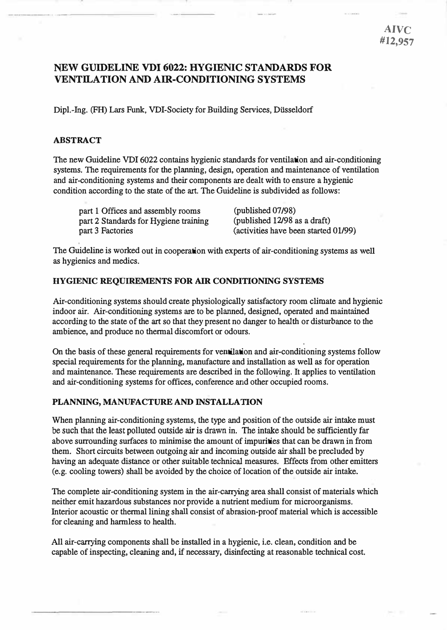# NEW GUIDELINE VDI 6022: HYGIENIC STANDARDS FOR VENTILATION AND AIR-CONDITIONING SYSTEMS

Dipl.-Ing. (FH) Lars Funk, VDI-Society for Building Services, Diisseldorf

# ABSTRACT

The new Guideline VDI 6022 contains hygienic standards for ventilation and air-conditioning systems. The requirements for the planning, design, operation and maintenance of ventilation and air-conditioning systems and their components are dealt with to ensure a hygienic condition according to the state of the art. The Guideline is subdivided as follows:

part 1 Offices and assembly rooms part 2 Standards for Hygiene training part 3 Factories

(published 07/98) (published 12/98 as a draft) (activities have been started 01/99)

The Guideline is worked out in cooperation with experts of air-conditioning systems as well as hygienics and medics.

## HYGIENIC REQUIREMENTS FOR AIR CONDITIONING SYSTEMS

Air-conditioning systems should create physiologically satisfactory room climate and hygienic indoor air. Air-conditioning systems are to be planned, designed, operated and maintained according to the state of the art so that they present no danger to health or disturbance to the ambience, and produce no thermal discomfort or odours.

On the basis of these general requirements for ventilation and air-conditioning systems follow special requirements for the planning, manufacture and installation as well as for operation and maintenance. These requirements are described in the following. It applies to ventilation and air-conditioning systems for offices, conference and other occupied rooms.

# PLANNING, MANUFACTURE AND INSTALLATION

When planning air-conditioning systems, the type and position of the outside air intake must be such that the least polluted outside air is drawn in. The intake should be sufficiently far above surrounding surfaces to minimise the amount of impurities that can be drawn in from them. Short circuits between outgoing air and incoming outside air shall be precluded by having an adequate distance or other suitable technical measures. Effects from other emitters (e.g. cooling towers) shall be avoided by the choice of location of the outside air intake.

The complete air-conditioning system in the air-carrying area shall consist of materials which neither emit hazardous substances nor provide a nutrient medium for microorganisms. Interior acoustic or thermal lining shall consist of abrasion-proof material which is accessible for cleaning and harmless to health. The complete air-conditioning<br>neither emit hazardous substan<br>Interior acoustic or thermal lini<br>for cleaning and harmless to he<br>All air-carrying components sh<br>capable of inspecting, cleaning

All air-carrying components shall be installed in a hygienic, i.e. clean, condition and be capable of inspecting, cleaning and, if necessary, disinfecting at reasonable technical cost.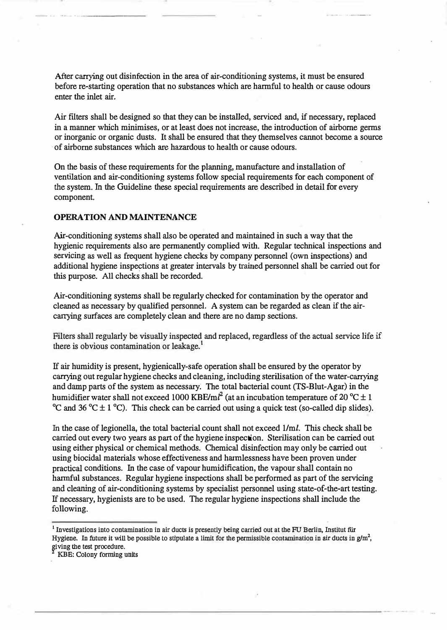After carrying out disinfection in the area of air-conditioning systems, it must be ensured before re-starting operation that no substances which are harmful to health or cause odours enter the inlet air.

Air filters shall be designed so that they can be installed, serviced and, if necessary, replaced in a manner which minimises, or at least does not increase, the introduction of airborne germs or inorganic or organic dusts. It shall be ensured that they themselves cannot become a source of airborne substances which are hazardous to health or cause odours.

On the basis of these requirements for the planning, manufacture and installation of ventilation and air-conditioning systems follow special requirements for each component of the system. In the Guideline these special requirements are described in detail for every component.

# OPERATION AND MAINTENANCE

- - -·· . -------

Air-conditioning systems shall also be operated and maintained in such a way that the hygienic requirements also are permanently complied with. Regular technical inspections and servicing as well as frequent hygiene checks by company personnel (own inspections) and additional hygiene inspections at greater intervals by trained personnel shall be carried out for this purpose. All checks shall be recorded.

Air-conditioning systems shall be regularly checked for contamination by the operator and cleaned as necessary by qualified personnel. A system can be regarded as clean if the aircarrying surfaces are completely clean and there are no damp sections.

Filters shall regularly be visually inspected and replaced, regardless of the actual service life if there is obvious contamination or leakage.<sup>1</sup>

If air humidity is present, hygienically-safe operation shall be ensured by the operator by carrying out regular hygiene checks and cleaning, including sterilisation of the water-carrying and damp parts of the system as necessary: The total bacterial count (fS-Blut-Agar) in the humidifier water shall not exceed 1000 KBE/ml<sup>2</sup> (at an incubation temperature of 20 °C  $\pm$  1 <sup>o</sup>C and 36 <sup>o</sup>C  $\pm$  1 <sup>o</sup>C). This check can be carried out using a quick test (so-called dip slides).

In the case of legionella, the total bacterial count shall not exceed 1/ml. This check shall be carried out every two years as part of the hygiene inspection. Sterilisation can be carried out using either physical or chemical methods. Chemical disinfection may only be carried out using biocidal materials whose effectiveness and harmlessness have been proven under practical conditions. In the case of vapour humidification, the vapour shall contain no harmful substances. Regular hygiene inspections shall be performed as part of the servicing and cleaning of air-conditioning systems by specialist personnel using state-of-the-art testing. If necessary, hygienists are to be used. The regular hygiene inspections shall include the following.

<sup>&</sup>lt;sup>1</sup> Investigations into contamination in air ducts is presently being carried out at the FU Berlin, Institut für Hygiene. In future it will be possible to stipulate a limit for the permissible contamination in air ducts in  $g/m<sup>2</sup>$ , giving the test procedure.

KBE: Colony forming units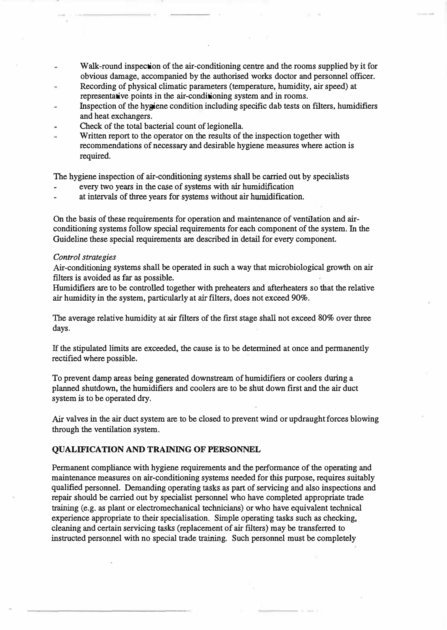- Walk-round inspection of the air-conditioning centre and the rooms supplied by it for obvious damage, accompanied by the authorised works doctor and personnel officer.
- Recording of physical climatic parameters (temperature, humidity, air speed) at representative points in the air-conditioning system and in rooms.
- Inspection of the hygiene condition including specific dab tests on filters, humidifiers and heat exchangers.
- Check of the total bacterial count of legionella.
- Written report to the operator on the results of the inspection together with recommendations of necessary and desirable hygiene measures where action is required.

The hygiene inspection of air-conditioning systems shall be carried out by specialists

- every two years in the case of systems with air humidification
- at intervals of three years for systems without air humidification.

On the basis of these requirements for operation and maintenance of ventilation and airconditioning systems follow special requirements for each component of the system. In the Guideline these special requirements are described in detail for every component.

#### Control strategies

Air-conditioning systems shall be operated in such a way that microbiological growth on air filters is avoided as far as possible.

Humidifiers are to be controlled together with preheaters and afterheaters so that the relative air humidity in the system, particularly at air filters, does not exceed 90%.

The average relative humidity at air filters of the first stage shall not exceed 80% over three days.

If the stipulated limits are exceeded, the cause is to be determined at once and permanently rectified where possible.

To prevent damp areas being generated downstream of humidifiers or coolers during a planned shutdown, the humidifiers and coolers are to be shut down first and the air duct system is to be operated dry.

Air valves in the air duct system are to be closed to prevent wind or updraught forces blowing through the ventilation system.

# QUALIFICATION AND TRAINING OF PERSONNEL

Permanent compliance with hygiene requirements and the performance of the operating and maintenance measures on air-conditioning systems needed for this purpose, requires suitably qualified personnel. Demanding operating tasks as part of servicing and also inspections and repair should be carried out by specialist personnel who have completed appropriate trade training (e.g. as plant or electromechanical technicians) or who have equivalent technical experience appropriate to their specialisation. Simple operating tasks such as checking, cleaning and certain servicing tasks (replacement of air filters) may be transferred to instructed personnel with no special trade training. Such personnel must be completely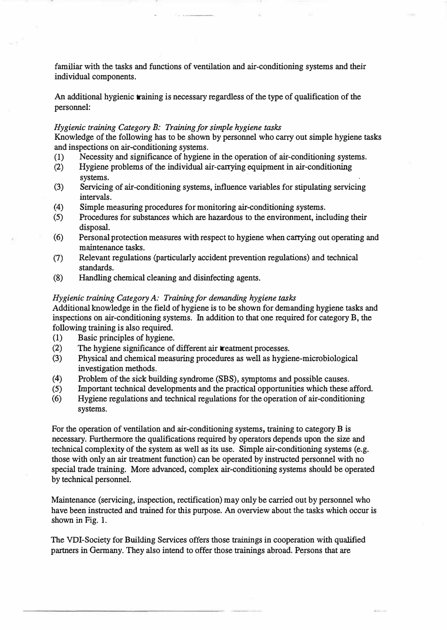familiar with the tasks and functions of ventilation and air-conditioning systems and their individual components.

An additional hygienic training is necessary regardless of the type of qualification of the personnel:

# Hygienic training Category B: Training for simple hygiene tasks

Knowledge of the following has to be shown by personnel who carry out simple hygiene tasks and inspections on air-conditioning systems.

- (1) Necessity and significance of hygiene in the operation of air-conditioning systems.
- (2) Hygiene problems of the individual air-carrying equipment in air-conditioning systems.
- (3) Servicing of air-conditioning systems, influence variables for stipulating servicing intervals.
- (4) Simple measuring procedures for monitoring air-conditioning systems.<br>(5) Procedures for substances which are hazardous to the environment, inc
- Procedures for substances which are hazardous to the environment, including their disposal.
- (6) Personal protection measures with respect to hygiene when carrying out operating and maintenance tasks.
- (7) Relevant regulations (particularly accident prevention regulations) and technical standards.
- (8) Handling chemical cleaning and disinfecting agents.

## Hygienic training Category A: Training for demanding hygiene tasks

Additional knowledge in the field of hygiene is to be shown for demanding hygiene tasks and inspections on air-conditioning systems. In addition to that one required for category B, the following training is also required.

- (1) Basic principles of hygiene.
- (2) The hygiene significance of different air treatment processes.
- (3) Physical and chemical measuring procedures as well as hygiene-microbiological investigation methods.
- (4) Problem of the sick building syndrome (SBS), symptoms and possible causes.
- (5) Important technical developments and the practical opportunities which these afford.
- (6) Hygiene regulations and technical regulations for the operation of air-conditioning systems.

For the operation of ventilation and air-conditioning systems, training to category B is necessary. Furthermore the qualifications required by operators depends upon the size and technical complexity of the system as well as its use. Simple air-conditioning systems (e.g. those with only an air treatment function) can be operated by instructed personnel with no special trade training. More advanced, complex air-conditioning systems should be operated by technical personnel.

Maintenance (servicing; inspection, rectification) may only be carried out by personnel who have been instructed and trained for this purpose. An overview about the tasks which occur is shown in Fig. 1.

The VDI-Society for Building Services offers those trainings in cooperation with qualified partners in Germany. They also intend to offer those trainings abroad. Persons that are